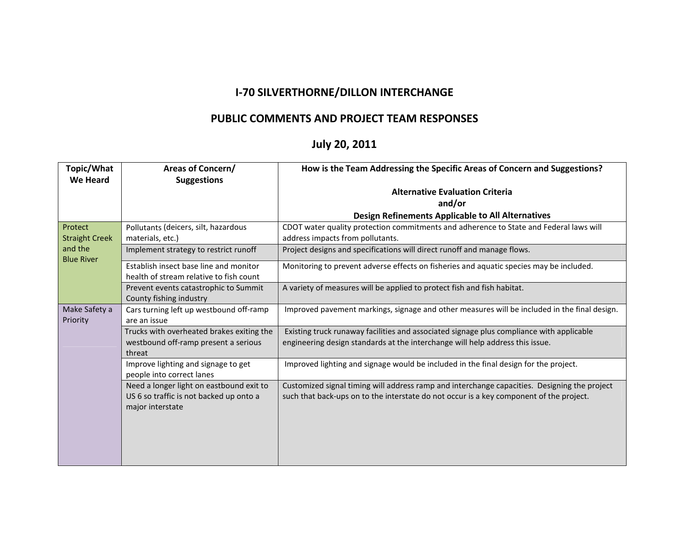## **I-70 SILVERTHORNE/DILLON INTERCHANGE**

## **PUBLIC COMMENTS AND PROJECT TEAM RESPONSES**

## **July 20, 2011**

| Topic/What<br>We Heard                                | Areas of Concern/<br><b>Suggestions</b>                                                                 | How is the Team Addressing the Specific Areas of Concern and Suggestions?                                                                                                               |
|-------------------------------------------------------|---------------------------------------------------------------------------------------------------------|-----------------------------------------------------------------------------------------------------------------------------------------------------------------------------------------|
|                                                       |                                                                                                         | <b>Alternative Evaluation Criteria</b><br>and/or                                                                                                                                        |
|                                                       |                                                                                                         | Design Refinements Applicable to All Alternatives                                                                                                                                       |
| Protect                                               | Pollutants (deicers, silt, hazardous                                                                    | CDOT water quality protection commitments and adherence to State and Federal laws will                                                                                                  |
| <b>Straight Creek</b><br>and the<br><b>Blue River</b> | materials, etc.)                                                                                        | address impacts from pollutants.                                                                                                                                                        |
|                                                       | Implement strategy to restrict runoff                                                                   | Project designs and specifications will direct runoff and manage flows.                                                                                                                 |
|                                                       | Establish insect base line and monitor<br>health of stream relative to fish count                       | Monitoring to prevent adverse effects on fisheries and aquatic species may be included.                                                                                                 |
|                                                       | Prevent events catastrophic to Summit<br>County fishing industry                                        | A variety of measures will be applied to protect fish and fish habitat.                                                                                                                 |
| Make Safety a<br>Priority                             | Cars turning left up westbound off-ramp<br>are an issue                                                 | Improved pavement markings, signage and other measures will be included in the final design.                                                                                            |
|                                                       | Trucks with overheated brakes exiting the<br>westbound off-ramp present a serious<br>threat             | Existing truck runaway facilities and associated signage plus compliance with applicable<br>engineering design standards at the interchange will help address this issue.               |
|                                                       | Improve lighting and signage to get<br>people into correct lanes                                        | Improved lighting and signage would be included in the final design for the project.                                                                                                    |
|                                                       | Need a longer light on eastbound exit to<br>US 6 so traffic is not backed up onto a<br>major interstate | Customized signal timing will address ramp and interchange capacities. Designing the project<br>such that back-ups on to the interstate do not occur is a key component of the project. |
|                                                       |                                                                                                         |                                                                                                                                                                                         |